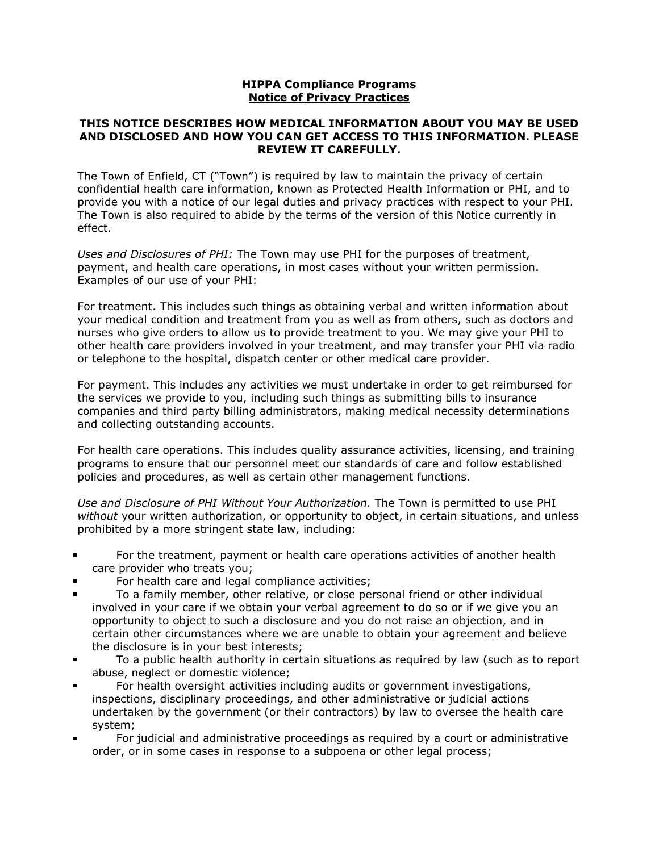## HIPPA Compliance Programs Notice of Privacy Practices

## THIS NOTICE DESCRIBES HOW MEDICAL INFORMATION ABOUT YOU MAY BE USED AND DISCLOSED AND HOW YOU CAN GET ACCESS TO THIS INFORMATION. PLEASE REVIEW IT CAREFULLY.

The Town of Enfield, CT ("Town") is required by law to maintain the privacy of certain confidential health care information, known as Protected Health Information or PHI, and to provide you with a notice of our legal duties and privacy practices with respect to your PHI. The Town is also required to abide by the terms of the version of this Notice currently in effect.

Uses and Disclosures of PHI: The Town may use PHI for the purposes of treatment, payment, and health care operations, in most cases without your written permission. Examples of our use of your PHI:

For treatment. This includes such things as obtaining verbal and written information about your medical condition and treatment from you as well as from others, such as doctors and nurses who give orders to allow us to provide treatment to you. We may give your PHI to other health care providers involved in your treatment, and may transfer your PHI via radio or telephone to the hospital, dispatch center or other medical care provider.

For payment. This includes any activities we must undertake in order to get reimbursed for the services we provide to you, including such things as submitting bills to insurance companies and third party billing administrators, making medical necessity determinations and collecting outstanding accounts.

For health care operations. This includes quality assurance activities, licensing, and training programs to ensure that our personnel meet our standards of care and follow established policies and procedures, as well as certain other management functions.

Use and Disclosure of PHI Without Your Authorization. The Town is permitted to use PHI without your written authorization, or opportunity to object, in certain situations, and unless prohibited by a more stringent state law, including:

- $\blacksquare$ For the treatment, payment or health care operations activities of another health care provider who treats you;
- For health care and legal compliance activities;  $\blacksquare$
- To a family member, other relative, or close personal friend or other individual  $\blacksquare$ involved in your care if we obtain your verbal agreement to do so or if we give you an opportunity to object to such a disclosure and you do not raise an objection, and in certain other circumstances where we are unable to obtain your agreement and believe the disclosure is in your best interests;
- $\blacksquare$ To a public health authority in certain situations as required by law (such as to report abuse, neglect or domestic violence;
- For health oversight activities including audits or government investigations, inspections, disciplinary proceedings, and other administrative or judicial actions undertaken by the government (or their contractors) by law to oversee the health care system;
- $\blacksquare$ For judicial and administrative proceedings as required by a court or administrative order, or in some cases in response to a subpoena or other legal process;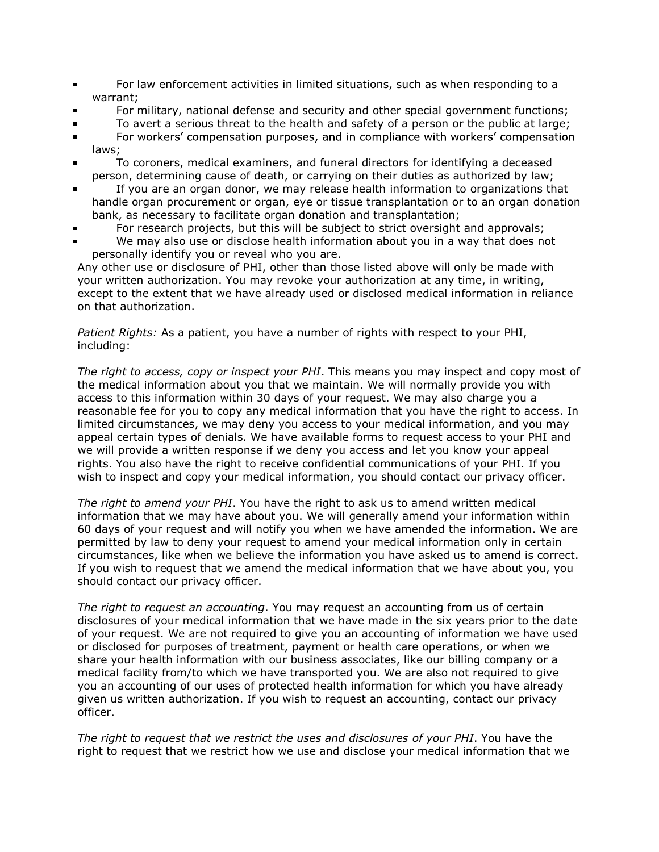- For law enforcement activities in limited situations, such as when responding to a  $\blacksquare$ warrant;
- For military, national defense and security and other special government functions;  $\blacksquare$
- To avert a serious threat to the health and safety of a person or the public at large;  $\blacksquare$
- For workers' compensation purposes, and in compliance with workers' compensation  $\blacksquare$ laws;
- To coroners, medical examiners, and funeral directors for identifying a deceased  $\blacksquare$ person, determining cause of death, or carrying on their duties as authorized by law;
- If you are an organ donor, we may release health information to organizations that  $\blacksquare$ handle organ procurement or organ, eye or tissue transplantation or to an organ donation bank, as necessary to facilitate organ donation and transplantation;
- $\blacksquare$ For research projects, but this will be subject to strict oversight and approvals;
- We may also use or disclose health information about you in a way that does not personally identify you or reveal who you are.

Any other use or disclosure of PHI, other than those listed above will only be made with your written authorization. You may revoke your authorization at any time, in writing, except to the extent that we have already used or disclosed medical information in reliance on that authorization.

Patient Rights: As a patient, you have a number of rights with respect to your PHI, including:

The right to access, copy or inspect your PHI. This means you may inspect and copy most of the medical information about you that we maintain. We will normally provide you with access to this information within 30 days of your request. We may also charge you a reasonable fee for you to copy any medical information that you have the right to access. In limited circumstances, we may deny you access to your medical information, and you may appeal certain types of denials. We have available forms to request access to your PHI and we will provide a written response if we deny you access and let you know your appeal rights. You also have the right to receive confidential communications of your PHI. If you wish to inspect and copy your medical information, you should contact our privacy officer.

The right to amend your PHI. You have the right to ask us to amend written medical information that we may have about you. We will generally amend your information within 60 days of your request and will notify you when we have amended the information. We are permitted by law to deny your request to amend your medical information only in certain circumstances, like when we believe the information you have asked us to amend is correct. If you wish to request that we amend the medical information that we have about you, you should contact our privacy officer.

The right to request an accounting. You may request an accounting from us of certain disclosures of your medical information that we have made in the six years prior to the date of your request. We are not required to give you an accounting of information we have used or disclosed for purposes of treatment, payment or health care operations, or when we share your health information with our business associates, like our billing company or a medical facility from/to which we have transported you. We are also not required to give you an accounting of our uses of protected health information for which you have already given us written authorization. If you wish to request an accounting, contact our privacy officer.

The right to request that we restrict the uses and disclosures of your PHI. You have the right to request that we restrict how we use and disclose your medical information that we